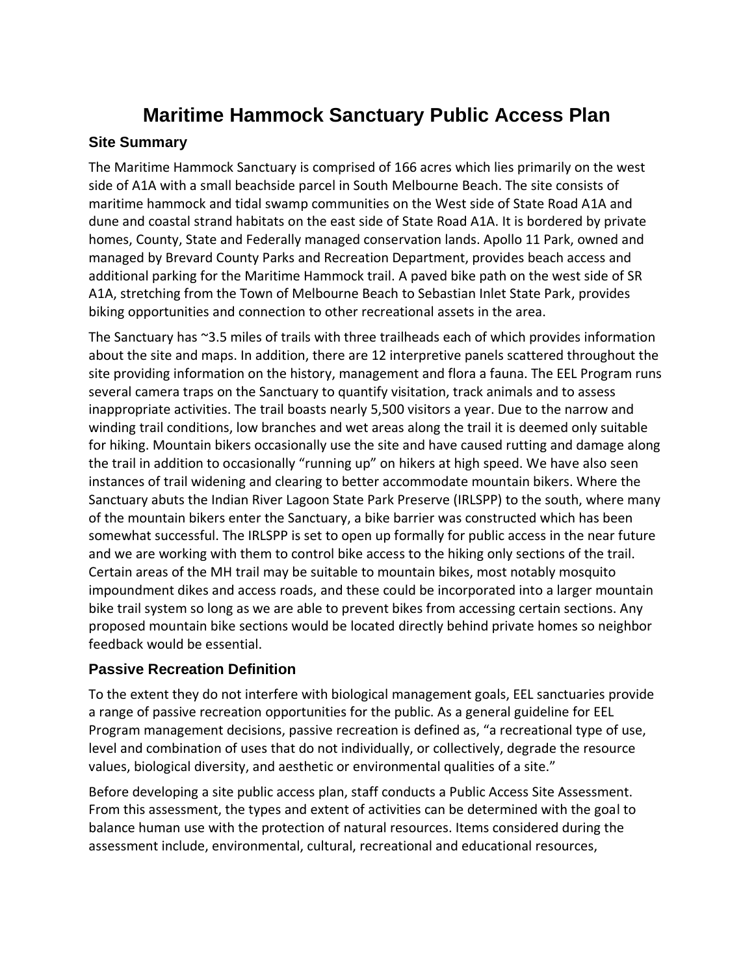# **Maritime Hammock Sanctuary Public Access Plan**

## **Site Summary**

The Maritime Hammock Sanctuary is comprised of 166 acres which lies primarily on the west side of A1A with a small beachside parcel in South Melbourne Beach. The site consists of maritime hammock and tidal swamp communities on the West side of State Road A1A and dune and coastal strand habitats on the east side of State Road A1A. It is bordered by private homes, County, State and Federally managed conservation lands. Apollo 11 Park, owned and managed by Brevard County Parks and Recreation Department, provides beach access and additional parking for the Maritime Hammock trail. A paved bike path on the west side of SR A1A, stretching from the Town of Melbourne Beach to Sebastian Inlet State Park, provides biking opportunities and connection to other recreational assets in the area.

The Sanctuary has ~3.5 miles of trails with three trailheads each of which provides information about the site and maps. In addition, there are 12 interpretive panels scattered throughout the site providing information on the history, management and flora a fauna. The EEL Program runs several camera traps on the Sanctuary to quantify visitation, track animals and to assess inappropriate activities. The trail boasts nearly 5,500 visitors a year. Due to the narrow and winding trail conditions, low branches and wet areas along the trail it is deemed only suitable for hiking. Mountain bikers occasionally use the site and have caused rutting and damage along the trail in addition to occasionally "running up" on hikers at high speed. We have also seen instances of trail widening and clearing to better accommodate mountain bikers. Where the Sanctuary abuts the Indian River Lagoon State Park Preserve (IRLSPP) to the south, where many of the mountain bikers enter the Sanctuary, a bike barrier was constructed which has been somewhat successful. The IRLSPP is set to open up formally for public access in the near future and we are working with them to control bike access to the hiking only sections of the trail. Certain areas of the MH trail may be suitable to mountain bikes, most notably mosquito impoundment dikes and access roads, and these could be incorporated into a larger mountain bike trail system so long as we are able to prevent bikes from accessing certain sections. Any proposed mountain bike sections would be located directly behind private homes so neighbor feedback would be essential.

## **Passive Recreation Definition**

To the extent they do not interfere with biological management goals, EEL sanctuaries provide a range of passive recreation opportunities for the public. As a general guideline for EEL Program management decisions, passive recreation is defined as, "a recreational type of use, level and combination of uses that do not individually, or collectively, degrade the resource values, biological diversity, and aesthetic or environmental qualities of a site."

Before developing a site public access plan, staff conducts a Public Access Site Assessment. From this assessment, the types and extent of activities can be determined with the goal to balance human use with the protection of natural resources. Items considered during the assessment include, environmental, cultural, recreational and educational resources,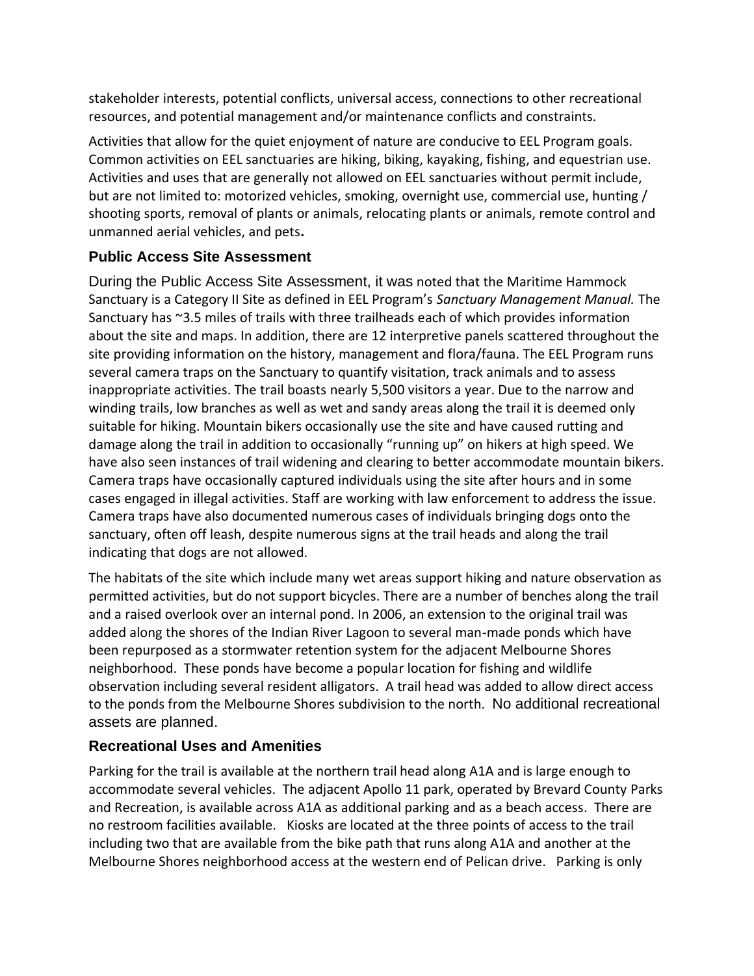stakeholder interests, potential conflicts, universal access, connections to other recreational resources, and potential management and/or maintenance conflicts and constraints.

Activities that allow for the quiet enjoyment of nature are conducive to EEL Program goals. Common activities on EEL sanctuaries are hiking, biking, kayaking, fishing, and equestrian use. Activities and uses that are generally not allowed on EEL sanctuaries without permit include, but are not limited to: motorized vehicles, smoking, overnight use, commercial use, hunting / shooting sports, removal of plants or animals, relocating plants or animals, remote control and unmanned aerial vehicles, and pets**.** 

## **Public Access Site Assessment**

During the Public Access Site Assessment, it was noted that the Maritime Hammock Sanctuary is a Category II Site as defined in EEL Program's *Sanctuary Management Manual.* The Sanctuary has ~3.5 miles of trails with three trailheads each of which provides information about the site and maps. In addition, there are 12 interpretive panels scattered throughout the site providing information on the history, management and flora/fauna. The EEL Program runs several camera traps on the Sanctuary to quantify visitation, track animals and to assess inappropriate activities. The trail boasts nearly 5,500 visitors a year. Due to the narrow and winding trails, low branches as well as wet and sandy areas along the trail it is deemed only suitable for hiking. Mountain bikers occasionally use the site and have caused rutting and damage along the trail in addition to occasionally "running up" on hikers at high speed. We have also seen instances of trail widening and clearing to better accommodate mountain bikers. Camera traps have occasionally captured individuals using the site after hours and in some cases engaged in illegal activities. Staff are working with law enforcement to address the issue. Camera traps have also documented numerous cases of individuals bringing dogs onto the sanctuary, often off leash, despite numerous signs at the trail heads and along the trail indicating that dogs are not allowed.

The habitats of the site which include many wet areas support hiking and nature observation as permitted activities, but do not support bicycles. There are a number of benches along the trail and a raised overlook over an internal pond. In 2006, an extension to the original trail was added along the shores of the Indian River Lagoon to several man-made ponds which have been repurposed as a stormwater retention system for the adjacent Melbourne Shores neighborhood. These ponds have become a popular location for fishing and wildlife observation including several resident alligators. A trail head was added to allow direct access to the ponds from the Melbourne Shores subdivision to the north. No additional recreational assets are planned.

#### **Recreational Uses and Amenities**

Parking for the trail is available at the northern trail head along A1A and is large enough to accommodate several vehicles. The adjacent Apollo 11 park, operated by Brevard County Parks and Recreation, is available across A1A as additional parking and as a beach access. There are no restroom facilities available. Kiosks are located at the three points of access to the trail including two that are available from the bike path that runs along A1A and another at the Melbourne Shores neighborhood access at the western end of Pelican drive. Parking is only